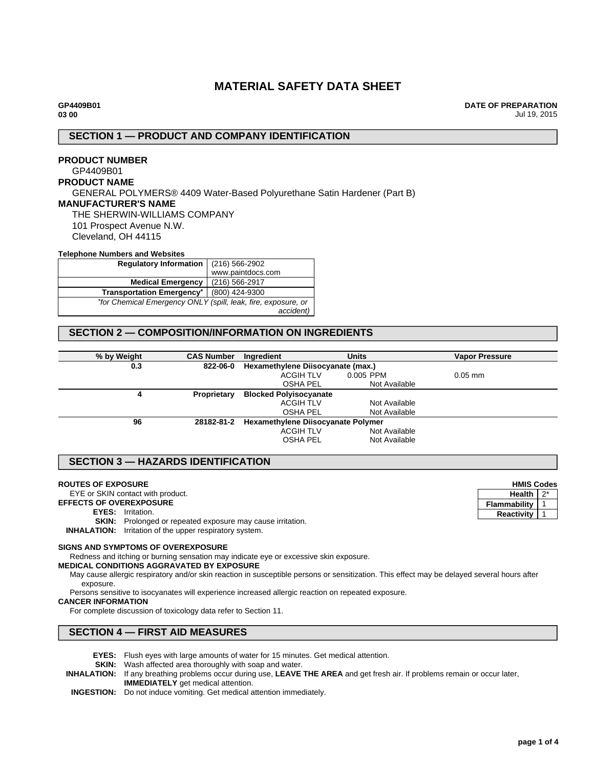# **MATERIAL SAFETY DATA SHEET**

**DATE OF PREPARATION** Jul 19, 2015

## **SECTION 1 — PRODUCT AND COMPANY IDENTIFICATION**

## **PRODUCT NUMBER** GP4409B01 **PRODUCT NAME** GENERAL POLYMERS® 4409 Water-Based Polyurethane Satin Hardener (Part B) **MANUFACTURER'S NAME** THE SHERWIN-WILLIAMS COMPANY 101 Prospect Avenue N.W. Cleveland, OH 44115

#### **Telephone Numbers and Websites**

| <b>Regulatory Information</b>                                 | (216) 566-2902    |  |  |
|---------------------------------------------------------------|-------------------|--|--|
|                                                               | www.paintdocs.com |  |  |
| <b>Medical Emergency</b>                                      | (216) 566-2917    |  |  |
| <b>Transportation Emergency*</b>                              | (800) 424-9300    |  |  |
| *for Chemical Emergency ONLY (spill, leak, fire, exposure, or |                   |  |  |
|                                                               | accident)         |  |  |

## **SECTION 2 — COMPOSITION/INFORMATION ON INGREDIENTS**

| % by Weight | <b>CAS Number</b> | Ingredient                                | <b>Units</b>  | <b>Vapor Pressure</b> |
|-------------|-------------------|-------------------------------------------|---------------|-----------------------|
| 0.3         | 822-06-0          | Hexamethylene Diisocyanate (max.)         |               |                       |
|             |                   | <b>ACGIH TLV</b>                          | 0.005 PPM     | $0.05$ mm             |
|             |                   | <b>OSHA PEL</b>                           | Not Available |                       |
| 4           | Proprietary       | <b>Blocked Polyisocyanate</b>             |               |                       |
|             |                   | <b>ACGIH TLV</b>                          | Not Available |                       |
|             |                   | <b>OSHA PEL</b>                           | Not Available |                       |
| 96          | 28182-81-2        | <b>Hexamethylene Diisocyanate Polymer</b> |               |                       |
|             |                   | <b>ACGIH TLV</b>                          | Not Available |                       |
|             |                   | <b>OSHA PEL</b>                           | Not Available |                       |
|             |                   |                                           |               |                       |

## **SECTION 3 — HAZARDS IDENTIFICATION**

#### **ROUTES OF EXPOSURE**

EYE or SKIN contact with product.

**EFFECTS OF OVEREXPOSURE**

**EYES:** Irritation.

**SKIN:** Prolonged or repeated exposure may cause irritation.

**INHALATION:** Irritation of the upper respiratory system.

#### **SIGNS AND SYMPTOMS OF OVEREXPOSURE**

Redness and itching or burning sensation may indicate eye or excessive skin exposure.

#### **MEDICAL CONDITIONS AGGRAVATED BY EXPOSURE**

May cause allergic respiratory and/or skin reaction in susceptible persons or sensitization. This effect may be delayed several hours after exposure.

Persons sensitive to isocyanates will experience increased allergic reaction on repeated exposure.

#### **CANCER INFORMATION**

For complete discussion of toxicology data refer to Section 11.

## **SECTION 4 — FIRST AID MEASURES**

- **EYES:** Flush eyes with large amounts of water for 15 minutes. Get medical attention.
- **SKIN:** Wash affected area thoroughly with soap and water.
- **INHALATION:** If any breathing problems occur during use, **LEAVE THE AREA** and get fresh air. If problems remain or occur later, **IMMEDIATELY** get medical attention.
- **INGESTION:** Do not induce vomiting. Get medical attention immediately.

**HMIS Codes Health**  $2^*$ **Flammability** 1 **Reactivity** 1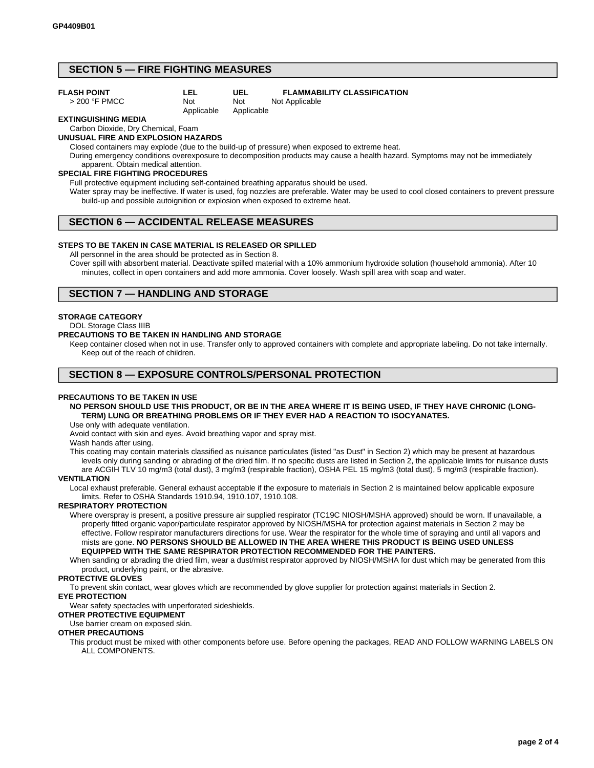## **SECTION 5 — FIRE FIGHTING MEASURES**

**LEL**

#### **FLASH POINT**

> 200 °F PMCC

Not

#### Not Applicable Applicable Not Applicable

**UEL**

#### **EXTINGUISHING MEDIA**

## Carbon Dioxide, Dry Chemical, Foam

## **UNUSUAL FIRE AND EXPLOSION HAZARDS**

Closed containers may explode (due to the build-up of pressure) when exposed to extreme heat.

During emergency conditions overexposure to decomposition products may cause a health hazard. Symptoms may not be immediately apparent. Obtain medical attention.

#### **SPECIAL FIRE FIGHTING PROCEDURES**

Full protective equipment including self-contained breathing apparatus should be used.

Water spray may be ineffective. If water is used, fog nozzles are preferable. Water may be used to cool closed containers to prevent pressure build-up and possible autoignition or explosion when exposed to extreme heat.

**FLAMMABILITY CLASSIFICATION**

## **SECTION 6 — ACCIDENTAL RELEASE MEASURES**

#### **STEPS TO BE TAKEN IN CASE MATERIAL IS RELEASED OR SPILLED**

All personnel in the area should be protected as in Section 8.

Cover spill with absorbent material. Deactivate spilled material with a 10% ammonium hydroxide solution (household ammonia). After 10 minutes, collect in open containers and add more ammonia. Cover loosely. Wash spill area with soap and water.

## **SECTION 7 — HANDLING AND STORAGE**

#### **STORAGE CATEGORY**

DOL Storage Class IIIB

#### **PRECAUTIONS TO BE TAKEN IN HANDLING AND STORAGE**

Keep container closed when not in use. Transfer only to approved containers with complete and appropriate labeling. Do not take internally. Keep out of the reach of children.

## **SECTION 8 — EXPOSURE CONTROLS/PERSONAL PROTECTION**

#### **PRECAUTIONS TO BE TAKEN IN USE**

**NO PERSON SHOULD USE THIS PRODUCT, OR BE IN THE AREA WHERE IT IS BEING USED, IF THEY HAVE CHRONIC (LONG-TERM) LUNG OR BREATHING PROBLEMS OR IF THEY EVER HAD A REACTION TO ISOCYANATES.**

Use only with adequate ventilation.

Avoid contact with skin and eyes. Avoid breathing vapor and spray mist.

Wash hands after using.

This coating may contain materials classified as nuisance particulates (listed "as Dust" in Section 2) which may be present at hazardous levels only during sanding or abrading of the dried film. If no specific dusts are listed in Section 2, the applicable limits for nuisance dusts are ACGIH TLV 10 mg/m3 (total dust), 3 mg/m3 (respirable fraction), OSHA PEL 15 mg/m3 (total dust), 5 mg/m3 (respirable fraction).

#### **VENTILATION**

Local exhaust preferable. General exhaust acceptable if the exposure to materials in Section 2 is maintained below applicable exposure limits. Refer to OSHA Standards 1910.94, 1910.107, 1910.108.

#### **RESPIRATORY PROTECTION**

Where overspray is present, a positive pressure air supplied respirator (TC19C NIOSH/MSHA approved) should be worn. If unavailable, a properly fitted organic vapor/particulate respirator approved by NIOSH/MSHA for protection against materials in Section 2 may be effective. Follow respirator manufacturers directions for use. Wear the respirator for the whole time of spraying and until all vapors and mists are gone. **NO PERSONS SHOULD BE ALLOWED IN THE AREA WHERE THIS PRODUCT IS BEING USED UNLESS EQUIPPED WITH THE SAME RESPIRATOR PROTECTION RECOMMENDED FOR THE PAINTERS.**

When sanding or abrading the dried film, wear a dust/mist respirator approved by NIOSH/MSHA for dust which may be generated from this product, underlying paint, or the abrasive.

#### **PROTECTIVE GLOVES**

To prevent skin contact, wear gloves which are recommended by glove supplier for protection against materials in Section 2. **EYE PROTECTION**

## Wear safety spectacles with unperforated sideshields.

**OTHER PROTECTIVE EQUIPMENT**

Use barrier cream on exposed skin.

#### **OTHER PRECAUTIONS**

This product must be mixed with other components before use. Before opening the packages, READ AND FOLLOW WARNING LABELS ON ALL COMPONENTS.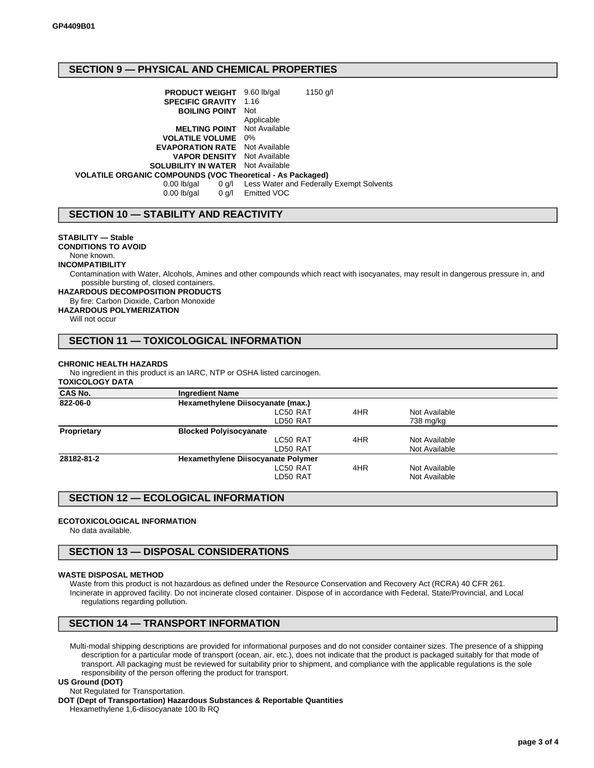## **SECTION 9 — PHYSICAL AND CHEMICAL PROPERTIES**

| <b>PRODUCT WEIGHT</b> 9.60 lb/gal<br><b>SPECIFIC GRAVITY</b>      | 1150 g/l<br>1.16                         |
|-------------------------------------------------------------------|------------------------------------------|
|                                                                   |                                          |
| <b>BOILING POINT</b>                                              | <b>Not</b>                               |
|                                                                   | Applicable                               |
| <b>MELTING POINT</b> Not Available                                |                                          |
| <b>VOLATILE VOLUME</b> 0%                                         |                                          |
| <b>EVAPORATION RATE</b> Not Available                             |                                          |
| <b>VAPOR DENSITY</b> Not Available                                |                                          |
| <b>SOLUBILITY IN WATER</b> Not Available                          |                                          |
| <b>VOLATILE ORGANIC COMPOUNDS (VOC Theoretical - As Packaged)</b> |                                          |
| $0.00$ lb/gal<br>0 g/l                                            | Less Water and Federally Exempt Solvents |
| $0.00$ lb/gal                                                     | 0 g/l Emitted VOC                        |
|                                                                   |                                          |

## **SECTION 10 — STABILITY AND REACTIVITY**

#### **STABILITY — Stable**

**CONDITIONS TO AVOID**

## None known.

**INCOMPATIBILITY**

Contamination with Water, Alcohols, Amines and other compounds which react with isocyanates, may result in dangerous pressure in, and possible bursting of, closed containers.

**HAZARDOUS DECOMPOSITION PRODUCTS**

#### By fire: Carbon Dioxide, Carbon Monoxide

**HAZARDOUS POLYMERIZATION**

Will not occur

## **SECTION 11 — TOXICOLOGICAL INFORMATION**

#### **CHRONIC HEALTH HAZARDS**

No ingredient in this product is an IARC, NTP or OSHA listed carcinogen.

#### **TOXICOLOGY DATA**

| CAS No.     | <b>Ingredient Name</b>                    |     |               |  |  |
|-------------|-------------------------------------------|-----|---------------|--|--|
| 822-06-0    | Hexamethylene Diisocyanate (max.)         |     |               |  |  |
|             | LC50 RAT                                  | 4HR | Not Available |  |  |
|             | LD50 RAT                                  |     | 738 mg/kg     |  |  |
| Proprietary | <b>Blocked Polyisocyanate</b>             |     |               |  |  |
|             | LC50 RAT                                  | 4HR | Not Available |  |  |
|             | LD50 RAT                                  |     | Not Available |  |  |
| 28182-81-2  | <b>Hexamethylene Diisocyanate Polymer</b> |     |               |  |  |
|             | LC50 RAT                                  | 4HR | Not Available |  |  |
|             | LD50 RAT                                  |     | Not Available |  |  |

## **SECTION 12 — ECOLOGICAL INFORMATION**

#### **ECOTOXICOLOGICAL INFORMATION**

No data available.

## **SECTION 13 — DISPOSAL CONSIDERATIONS**

#### **WASTE DISPOSAL METHOD**

Waste from this product is not hazardous as defined under the Resource Conservation and Recovery Act (RCRA) 40 CFR 261. Incinerate in approved facility. Do not incinerate closed container. Dispose of in accordance with Federal, State/Provincial, and Local regulations regarding pollution.

## **SECTION 14 — TRANSPORT INFORMATION**

Multi-modal shipping descriptions are provided for informational purposes and do not consider container sizes. The presence of a shipping description for a particular mode of transport (ocean, air, etc.), does not indicate that the product is packaged suitably for that mode of transport. All packaging must be reviewed for suitability prior to shipment, and compliance with the applicable regulations is the sole responsibility of the person offering the product for transport.

#### **US Ground (DOT)**

Not Regulated for Transportation.

**DOT (Dept of Transportation) Hazardous Substances & Reportable Quantities**

Hexamethylene 1,6-diisocyanate 100 lb RQ